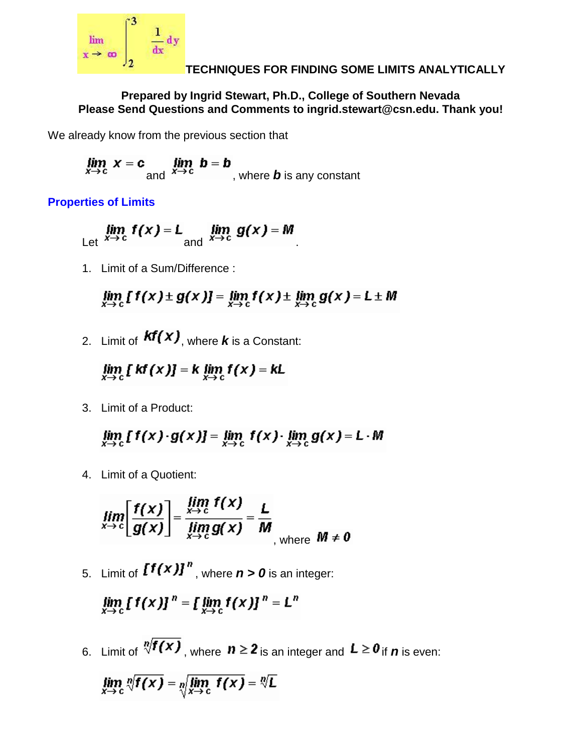

### **TECHNIQUES FOR FINDING SOME LIMITS ANALYTICALLY**

### **Prepared by Ingrid Stewart, Ph.D., College of Southern Nevada Please Send Questions and Comments to ingrid.stewart@csn.edu. Thank you!**

We already know from the previous section that

$$
\lim_{x \to c} x = c \lim_{\text{and} \ x \to c} b = b
$$
, where **b** is any constant

**Properties of Limits**

$$
\lim_{x \to c} f(x) = L \lim_{x \to c} g(x) = M
$$

1. Limit of a Sum/Difference :

$$
\lim_{x\to c} [f(x) \pm g(x)] = \lim_{x\to c} f(x) \pm \lim_{x\to c} g(x) = L \pm M
$$

2. Limit of  $\mathcal{kf}(x)$ , where **k** is a Constant:

 $\lim_{x\to c} [kf(x)] = k \lim_{x\to c} f(x) = kL$ 

3. Limit of a Product:

 $\lim_{x\to c} [f(x)\cdot g(x)] = \lim_{x\to c} f(x) \cdot \lim_{x\to c} g(x) = L \cdot M$ 

4. Limit of a Quotient:

$$
\lim_{x\to c}\left[\frac{f(x)}{g(x)}\right]=\frac{\lim_{x\to c}f(x)}{\lim_{x\to c}g(x)}=\frac{L}{M}\bigg|_{\text{where }M\neq 0}
$$

5. Limit of  $\left[f(x)\right]^{n}$ , where  $n > 0$  is an integer:

$$
\lim_{x\to c} [f(x)]^n = [\lim_{x\to c} f(x)]^n = L^n
$$

6. Limit of  $\sqrt[n]{f(x)}$ , where  $n \ge 2$  is an integer and  $L \ge 0$  if *n* is even:

$$
\lim_{x \to c} \sqrt[n]{f(x)} = \sqrt[n]{\lim_{x \to c} f(x)} = \sqrt[n]{L}
$$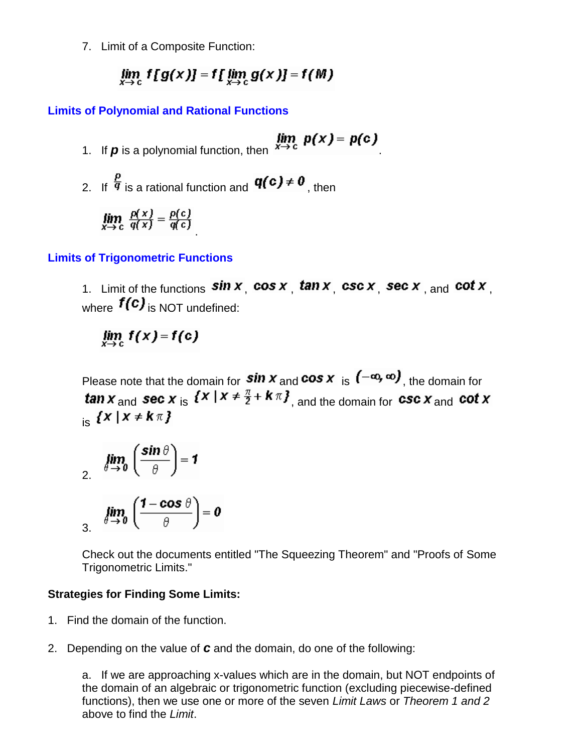7. Limit of a Composite Function:

$$
\lim_{x\to c} f[g(x)] = f[\lim_{x\to c} g(x)] = f(M)
$$

### **Limits of Polynomial and Rational Functions**

- 1. If **p** is a polynomial function, then  $x \to c$  **p**(x) **p**(c)
- 2. If  $\frac{p}{q}$  is a rational function and  $q(c) \neq 0$ , then

$$
\lim_{x \to c} \frac{p(x)}{q(x)} = \frac{p(c)}{q(c)}
$$

### **Limits of Trigonometric Functions**

1. Limit of the functions  $\sin x$ , cos x,  $\tan x$ , csc x, sec x, and cot x. where  $f(c)$  is NOT undefined:

$$
\lim_{x\to c} f(x) = f(c)
$$

Please note that the domain for **sin x** and **cos x** is  $(-\infty, \infty)$ , the domain for tan  $x$  and sec  $x$  is  $\{x \mid x \neq \frac{\pi}{2} + k\pi\}$ , and the domain for csc  $x$  and cot  $x$  $\kappa$  { $X$  |  $X \neq k \pi$  }

$$
\lim_{\theta \to 0} \left( \frac{\sin \theta}{\theta} \right) = 1
$$

$$
\lim_{\beta \to 0} \left( \frac{1 - \cos \theta}{\theta} \right) = 0
$$

Check out the documents entitled "The Squeezing Theorem" and "Proofs of Some Trigonometric Limits."

### **Strategies for Finding Some Limits:**

- 1. Find the domain of the function.
- 2. Depending on the value of *c* and the domain, do one of the following:

a. If we are approaching x-values which are in the domain, but NOT endpoints of the domain of an algebraic or trigonometric function (excluding piecewise-defined functions), then we use one or more of the seven *Limit Laws* or *Theorem 1 and 2* above to find the *Limit*.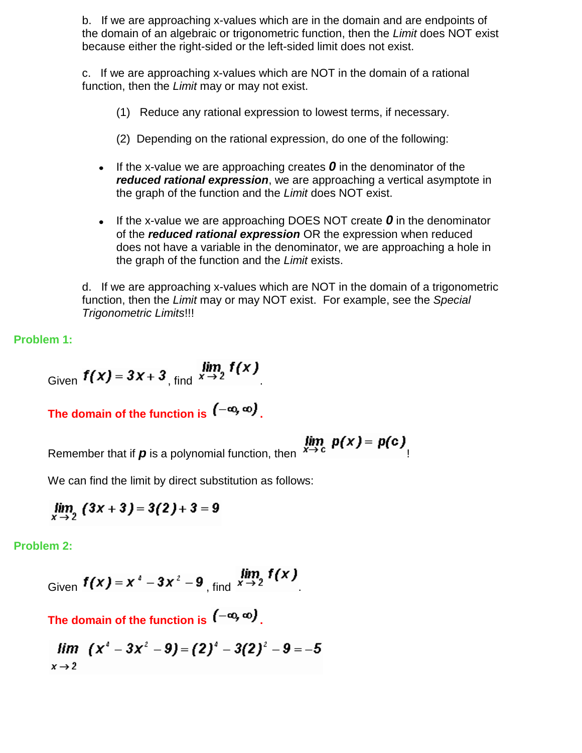b. If we are approaching x-values which are in the domain and are endpoints of the domain of an algebraic or trigonometric function, then the *Limit* does NOT exist because either the right-sided or the left-sided limit does not exist.

c. If we are approaching x-values which are NOT in the domain of a rational function, then the *Limit* may or may not exist.

- (1) Reduce any rational expression to lowest terms, if necessary.
- (2) Depending on the rational expression, do one of the following:
- If the x-value we are approaching creates  $\boldsymbol{0}$  in the denominator of the *reduced rational expression*, we are approaching a vertical asymptote in the graph of the function and the *Limit* does NOT exist.
- If the x-value we are approaching DOES NOT create  $\bm{o}$  in the denominator of the *reduced rational expression* OR the expression when reduced does not have a variable in the denominator, we are approaching a hole in the graph of the function and the *Limit* exists.

d. If we are approaching x-values which are NOT in the domain of a trigonometric function, then the *Limit* may or may NOT exist. For example, see the *Special Trigonometric Limits*!!!

**Problem 1:**

$$
Given \t f(x) = 3x + 3, find \t x \to 2 \t f(x)
$$

The domain of the function is  $(-\infty, \infty)$ .

Remember that if  $p$  is a polynomial function, then  $\frac{\dot{x}}{\dot{x}}$ 

$$
\lim_{x\to c} p(x) = p(c)
$$

We can find the limit by direct substitution as follows:

$$
\lim_{x \to 2} (3x + 3) = 3(2) + 3 = 9
$$

**Problem 2:**

Given 
$$
f(x) = x^4 - 3x^2 - 9
$$
, find  $\lim_{x \to 2} f(x)$ .

The domain of the function is  $(-\infty, \infty)$ 

$$
\lim_{x \to 2} (x^4 - 3x^2 - 9) = (2)^4 - 3(2)^2 - 9 = -5
$$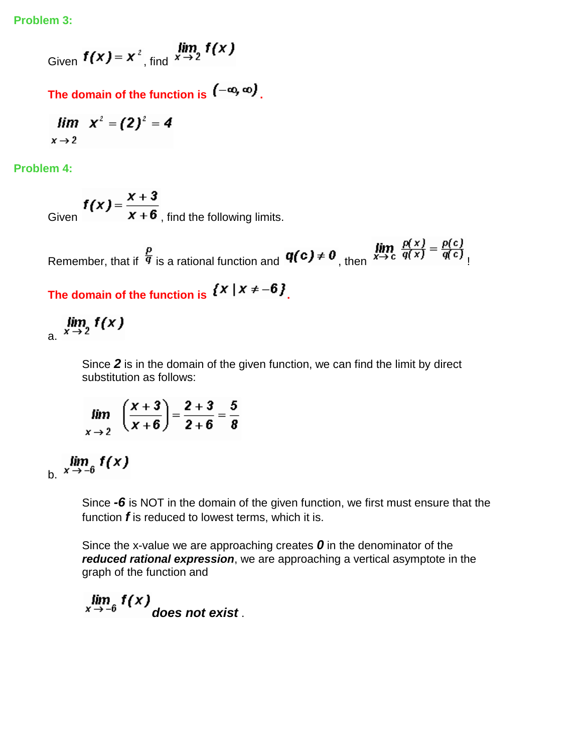**Problem 3:**

Given  $f(x) = x^2$ , find  $x \to 2$   $f(x)$ 

The domain of the function is  $(-\infty, \infty)$ .

$$
\lim_{x\to 2} x^2 = (2)^2 = 4
$$

**Problem 4:**

 $f(x) = \frac{x+3}{x+6}$ , find the following limits.

Remember, that if  $\frac{p}{q}$  is a rational function and  $\mathbf{q}(c) \neq 0$ , then  $\lim_{x \to c} \frac{p(x)}{q(x)} = \frac{p(c)}{q(c)}$ 

The domain of the function is  $\{x \mid x \neq -6\}$ .

 $\lim_{x \to 2} f(x)$ 

Since *2* is in the domain of the given function, we can find the limit by direct substitution as follows:

$$
\lim_{x \to 2} \frac{x+3}{x+6} = \frac{2+3}{2+6} = \frac{5}{8}
$$

 $\lim_{x \to -6} f(x)$ 

Since *-6* is NOT in the domain of the given function, we first must ensure that the function *f* is reduced to lowest terms, which it is.

Since the x-value we are approaching creates *0* in the denominator of the *reduced rational expression*, we are approaching a vertical asymptote in the graph of the function and

```
\lim_{x \to -6} f(x) does not exist.
```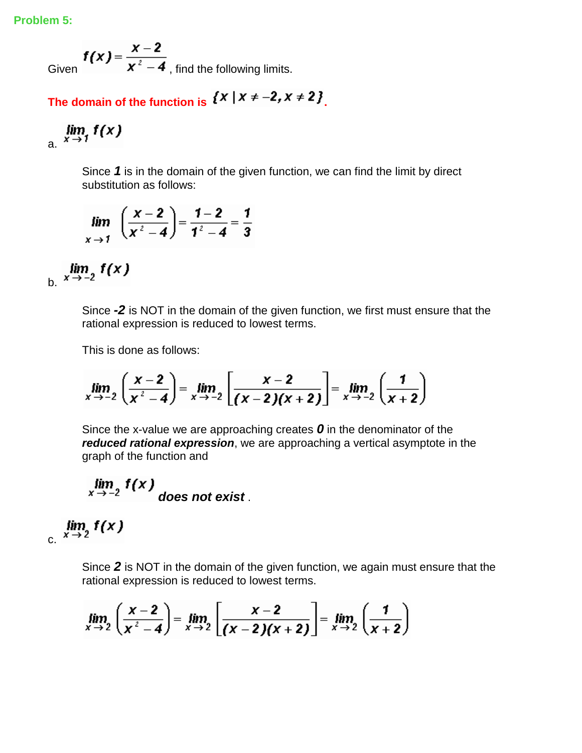**Problem 5:**

Given  $f(x) = \frac{x-2}{x^2-4}$ , find the following limits.

The domain of the function is  $\{x \mid x \neq -2, x \neq 2\}$ 

$$
\lim_{x \to 1} f(x)
$$

Since *1* is in the domain of the given function, we can find the limit by direct substitution as follows:

$$
\lim_{x \to 1} \left( \frac{x-2}{x^2-4} \right) = \frac{1-2}{1^2-4} = \frac{1}{3}
$$

 $\lim_{x \to -2} f(x)$ 

Since *-2* is NOT in the domain of the given function, we first must ensure that the rational expression is reduced to lowest terms.

This is done as follows:

$$
\lim_{x \to -2} \left( \frac{x-2}{x^2-4} \right) = \lim_{x \to -2} \left[ \frac{x-2}{(x-2)(x+2)} \right] = \lim_{x \to -2} \left( \frac{1}{x+2} \right)
$$

Since the x-value we are approaching creates *0* in the denominator of the *reduced rational expression*, we are approaching a vertical asymptote in the graph of the function and

$$
\lim_{x \to -2} f(x)
$$
 does not exist.

 $\lim_{x \to 2} f(x)$ 

Since *2* is NOT in the domain of the given function, we again must ensure that the rational expression is reduced to lowest terms.

$$
\lim_{x\to 2}\left(\frac{x-2}{x^2-4}\right)=\lim_{x\to 2}\left[\frac{x-2}{(x-2)(x+2)}\right]=\lim_{x\to 2}\left(\frac{1}{x+2}\right)
$$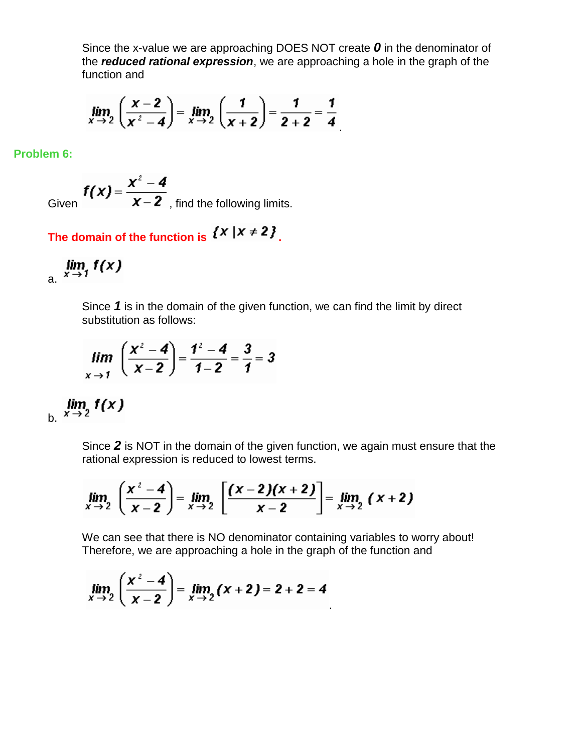Since the x-value we are approaching DOES NOT create *0* in the denominator of the *reduced rational expression*, we are approaching a hole in the graph of the function and

$$
\lim_{x \to 2} \left( \frac{x-2}{x^2-4} \right) = \lim_{x \to 2} \left( \frac{1}{x+2} \right) = \frac{1}{2+2} = \frac{1}{4}
$$

**Problem 6:**

Given 
$$
f(x) = \frac{x^2 - 4}{x - 2}
$$
, find the following limits.

The domain of the function is  $\{x \mid x \neq 2\}$ .

$$
\lim_{x \to 1} f(x)
$$

Since *1* is in the domain of the given function, we can find the limit by direct substitution as follows:

$$
\lim_{x \to 1} \left( \frac{x^2 - 4}{x - 2} \right) = \frac{1^2 - 4}{1 - 2} = \frac{3}{1} = 3
$$

 $\lim_{x \to 2} f(x)$ 

Since *2* is NOT in the domain of the given function, we again must ensure that the rational expression is reduced to lowest terms.

$$
\lim_{x \to 2} \left( \frac{x^2 - 4}{x - 2} \right) = \lim_{x \to 2} \left[ \frac{(x - 2)(x + 2)}{x - 2} \right] = \lim_{x \to 2} (x + 2)
$$

We can see that there is NO denominator containing variables to worry about! Therefore, we are approaching a hole in the graph of the function and

$$
\lim_{x \to 2} \left( \frac{x^2 - 4}{x - 2} \right) = \lim_{x \to 2} (x + 2) = 2 + 2 = 4
$$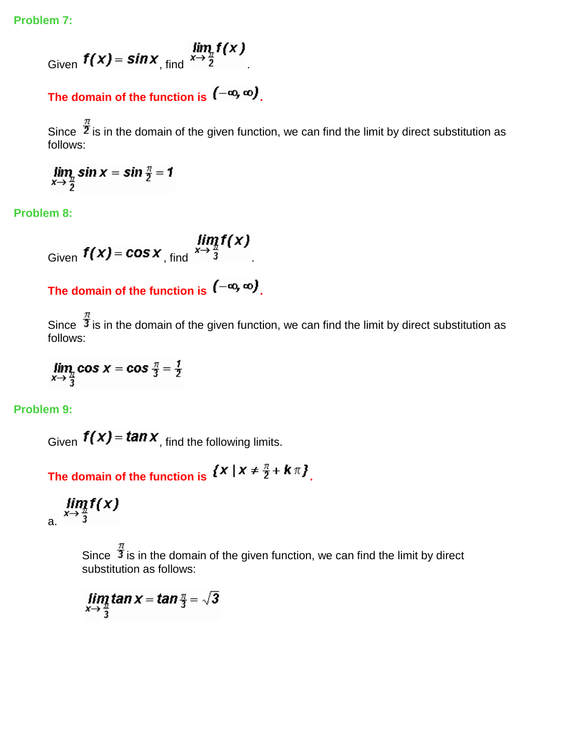**Problem 7:**

$$
\lim_{\text{Given}} f(x) = \sin x \lim_{\text{find}} \frac{\lim_{x \to \frac{\pi}{2}} f(x)}{\lim_{x \to \frac{\pi}{2}} f(x)}
$$

## The domain of the function is  $(-\infty, \infty)$ .

Since  $\frac{\pi}{2}$  is in the domain of the given function, we can find the limit by direct substitution as follows:

 $\lim_{x \to \frac{\pi}{2}} \sin x = \sin \frac{\pi}{2} = 1$ 

**Problem 8:**

Given  $f(x) = \cos x$ , find  $\lim_{x \to \frac{\pi}{3}} f(x)$ 

The domain of the function is  $(-\infty, \infty)$ .

Since  $\frac{\pi}{3}$  is in the domain of the given function, we can find the limit by direct substitution as follows:

 $\lim_{x \to \frac{\pi}{3}} \cos x = \cos \frac{\pi}{3} = \frac{1}{2}$ 

**Problem 9:**

Given  $f(x) = \tan x$ , find the following limits.

The domain of the function is  $\{x \mid x \neq \frac{\pi}{2} + k\pi\}$ .

 $\lim_{x\to \frac{\pi}{3}}f(x)$ 

Since  $\hat{\vec{J}}$  is in the domain of the given function, we can find the limit by direct substitution as follows:

 $\lim_{x\to \frac{\pi}{3}} \tan x = \tan \frac{\pi}{3} = \sqrt{3}$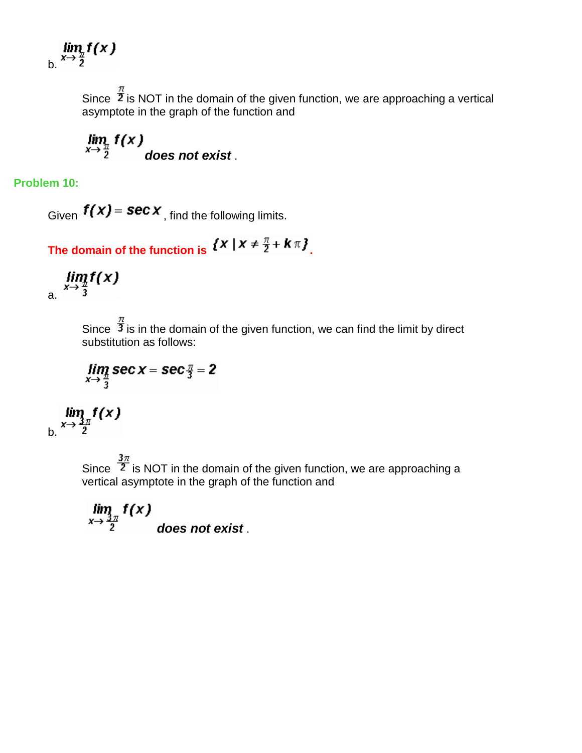$\lim_{x\to\frac{\pi}{2}}f(x)$ 

Since  $\frac{\pi}{2}$  is NOT in the domain of the given function, we are approaching a vertical asymptote in the graph of the function and

 $\lim_{x\to \frac{\pi}{2}} f(x)$  does not exist .

**Problem 10:**

Given  $f(x)$  = **sec**  $x$ <sub>, find the following limits.</sub>

The domain of the function is  $\{X \mid X \neq \frac{\pi}{2} + k\pi\}$ .

 $\lim_{x\to \frac{\pi}{3}}f(x)$ 

Since  $\frac{\pi}{3}$  is in the domain of the given function, we can find the limit by direct substitution as follows:

$$
\lim_{x\to \frac{\pi}{3}} \sec x = \sec \frac{\pi}{3} = 2
$$

 $\lim_{x\to\frac{3\pi}{2}}f(x)$ 

Since  $\frac{3\pi}{2}$  is NOT in the domain of the given function, we are approaching a vertical asymptote in the graph of the function and

 $\lim_{x\to \frac{3\pi}{2}} f(x)$  does not exist.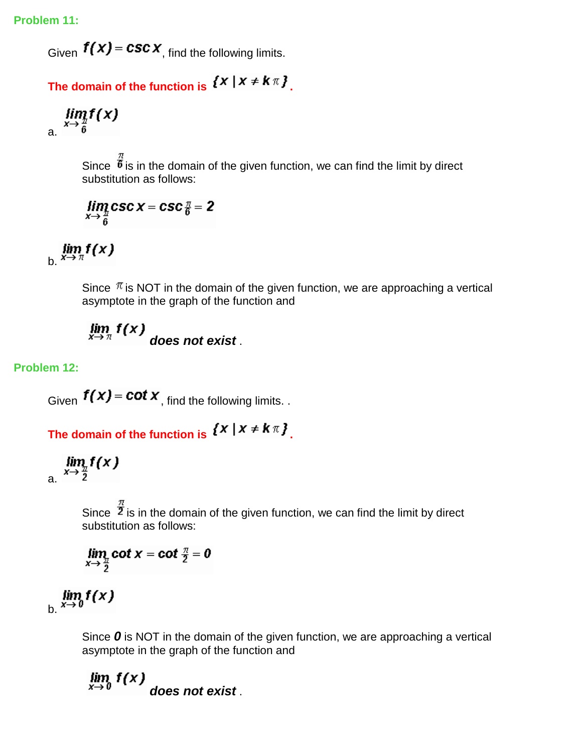**Problem 11:**

Given  $f(x) = csc x$ , find the following limits.

The domain of the function is  $\{x \mid x \neq k\pi\}$ .

$$
\lim_{x\to\frac{h}{6}}f(x)
$$

Since  $\overline{\overset{n}{\theta}}$  is in the domain of the given function, we can find the limit by direct substitution as follows:

$$
\lim_{x\to \frac{\pi}{6}}\csc x = \csc \frac{\pi}{6} = 2
$$

 $\lim_{x\to\pi}f(x)$ 

Since  $\pi$  is NOT in the domain of the given function, we are approaching a vertical asymptote in the graph of the function and

$$
\lim_{x\to\pi} f(x)
$$
 does not exist.

### **Problem 12:**

Given  $f(x) = \cot x$ , find the following limits. .

The domain of the function is  $\{X \mid X \neq k\pi\}$ .

$$
\lim_{x\to\frac{\pi}{2}}f(x)
$$

Since  $\frac{\hat{x}}{2}$  is in the domain of the given function, we can find the limit by direct substitution as follows:

$$
\lim_{x\to \frac{\pi}{2}}\cot x = \cot \frac{\pi}{2} = 0
$$

 $\lim_{b. x \to 0} f(x)$ 

Since **0** is NOT in the domain of the given function, we are approaching a vertical asymptote in the graph of the function and

 $\lim_{x\to 0} f(x)$ *does not exist* .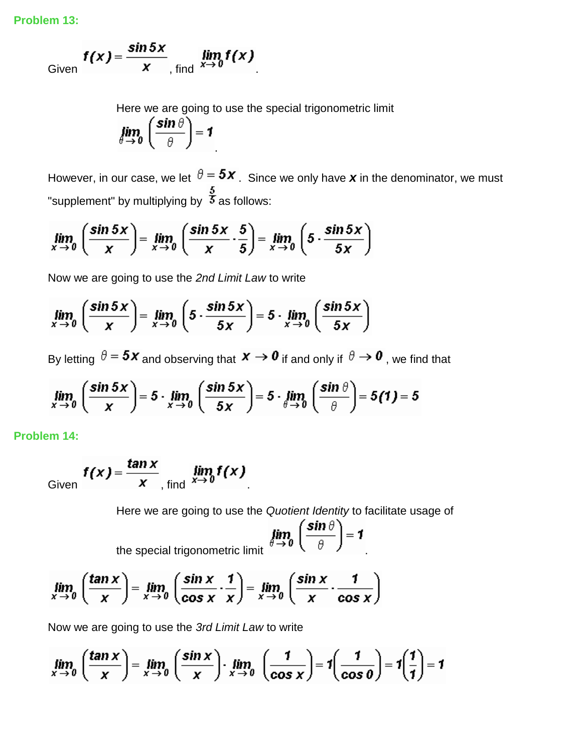**Problem 13:**

Given 
$$
f(x) = \frac{\sin 5x}{x}
$$
, find  $\lim_{x \to 0} f(x)$ .

Here we are going to use the special trigonometric limit

$$
\lim_{\theta \to 0} \left( \frac{\sin \theta}{\theta} \right) = 1
$$

However, in our case, we let  $\theta = 5x$ . Since we only have **x** in the denominator, we must "supplement" by multiplying by  $\frac{5}{3}$  as follows:

$$
\lim_{x \to 0} \left( \frac{\sin 5x}{x} \right) = \lim_{x \to 0} \left( \frac{\sin 5x}{x} \cdot \frac{5}{5} \right) = \lim_{x \to 0} \left( 5 \cdot \frac{\sin 5x}{5x} \right)
$$

Now we are going to use the *2nd Limit Law* to write

$$
\lim_{x \to 0} \left( \frac{\sin 5x}{x} \right) = \lim_{x \to 0} \left( 5 \cdot \frac{\sin 5x}{5x} \right) = 5 \cdot \lim_{x \to 0} \left( \frac{\sin 5x}{5x} \right)
$$

By letting  $\theta = 5x$  and observing that  $x \to 0$  if and only if  $\theta \to 0$ , we find that

$$
\lim_{x \to 0} \left( \frac{\sin 5x}{x} \right) = 5 \cdot \lim_{x \to 0} \left( \frac{\sin 5x}{5x} \right) = 5 \cdot \lim_{\theta \to 0} \left( \frac{\sin \theta}{\theta} \right) = 5(1) = 5
$$

**Problem 14:**

Given 
$$
f(x) = \frac{\tan x}{x}
$$
, find  $\lim_{x \to 0} f(x)$ .

Here we are going to use the *Quotient Identity* to facilitate usage of

$$
\lim_{\theta \to 0} \left( \frac{\sin \theta}{\theta} \right) = 1
$$

the special trigonometric limit

$$
\lim_{x \to 0} \left( \frac{\tan x}{x} \right) = \lim_{x \to 0} \left( \frac{\sin x}{\cos x} \cdot \frac{1}{x} \right) = \lim_{x \to 0} \left( \frac{\sin x}{x} \cdot \frac{1}{\cos x} \right)
$$

Now we are going to use the *3rd Limit Law* to write

$$
\lim_{x \to 0} \left( \frac{\tan x}{x} \right) = \lim_{x \to 0} \left( \frac{\sin x}{x} \right) \cdot \lim_{x \to 0} \left( \frac{1}{\cos x} \right) = 1 \left( \frac{1}{\cos 0} \right) = 1 \left( \frac{1}{1} \right) = 1
$$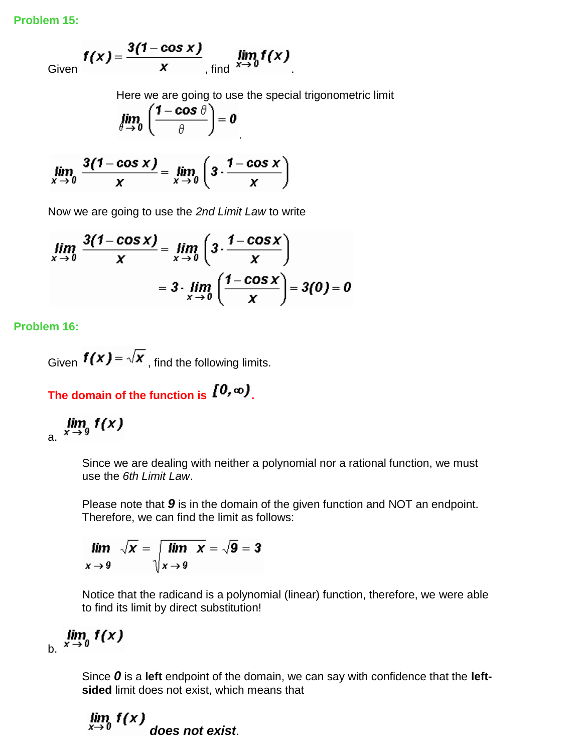**Problem 15:**

Given 
$$
f(x) = \frac{3(1 - \cos x)}{x}
$$
, find  $\lim_{x \to 0} f(x)$ .

Here we are going to use the special trigonometric limit

$$
\lim_{\theta \to 0} \left( \frac{1 - \cos \theta}{\theta} \right) = 0
$$

$$
\lim_{x \to 0} \frac{3(1-\cos x)}{x} = \lim_{x \to 0} \left(3 \cdot \frac{1-\cos x}{x}\right)
$$

Now we are going to use the *2nd Limit Law* to write

$$
\lim_{x \to 0} \frac{3(1-\cos x)}{x} = \lim_{x \to 0} \left(3 \cdot \frac{1-\cos x}{x}\right)
$$

$$
= 3 \cdot \lim_{x \to 0} \left(\frac{1-\cos x}{x}\right) = 3(0) = 0
$$

**Problem 16:**

Given  $f(x) = \sqrt{x}$ , find the following limits.

The domain of the function is  $[0, \infty)$ .

$$
\lim_{x \to 9} f(x)
$$

Since we are dealing with neither a polynomial nor a rational function, we must use the *6th Limit Law*.

Please note that *9* is in the domain of the given function and NOT an endpoint. Therefore, we can find the limit as follows:

$$
\lim_{x \to 9} \sqrt{x} = \sqrt{\lim_{x \to 9} x} = \sqrt{9} = 3
$$

Notice that the radicand is a polynomial (linear) function, therefore, we were able to find its limit by direct substitution!

# $\lim_{x \to 0} f(x)$

Since *0* is a **left** endpoint of the domain, we can say with confidence that the **leftsided** limit does not exist, which means that

 $\lim_{x\to 0} f(x)$ *does not exist*.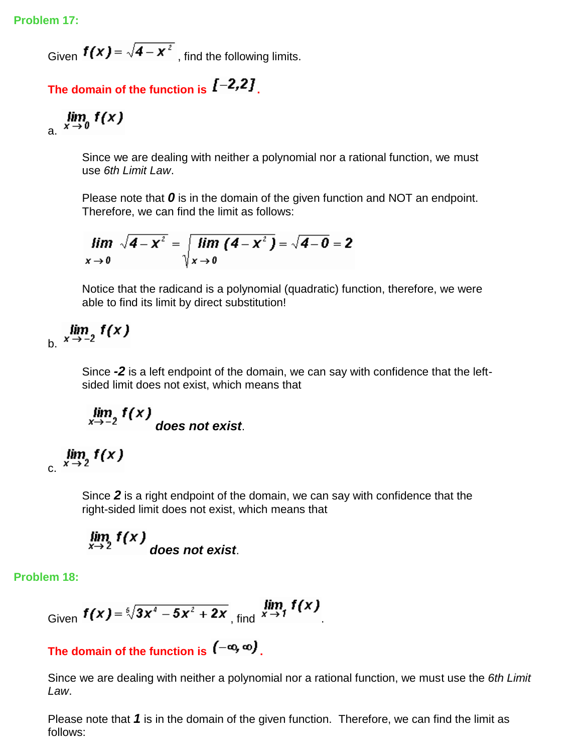Given  $f(x) = \sqrt{4-x^2}$ , find the following limits.

## The domain of the function is  $[-2,2]$ .

$$
\lim_{x \to 0} f(x)
$$

Since we are dealing with neither a polynomial nor a rational function, we must use *6th Limit Law*.

Please note that *0* is in the domain of the given function and NOT an endpoint. Therefore, we can find the limit as follows:

$$
\lim_{x\to 0} \sqrt{4-x^2} = \sqrt{\lim_{x\to 0} (4-x^2)} = \sqrt{4-0} = 2
$$

Notice that the radicand is a polynomial (quadratic) function, therefore, we were able to find its limit by direct substitution!

$$
\lim_{b. x \to -2} f(x)
$$

Since *-2* is a left endpoint of the domain, we can say with confidence that the leftsided limit does not exist, which means that

$$
\lim_{x\to -2} f(x)
$$
 does not exist.

$$
\lim_{x \to 2} f(x)
$$

Since *2* is a right endpoint of the domain, we can say with confidence that the right-sided limit does not exist, which means that

$$
\lim_{x\to 2} f(x)
$$
 does not exist.

**Problem 18:**

Given 
$$
f(x) = \sqrt[5]{3x^4 - 5x^2 + 2x}
$$
, find  $\lim_{x \to 1} f(x)$ .

The domain of the function is  $(-\infty, \infty)$ .

Since we are dealing with neither a polynomial nor a rational function, we must use the *6th Limit Law*.

Please note that *1* is in the domain of the given function. Therefore, we can find the limit as follows: